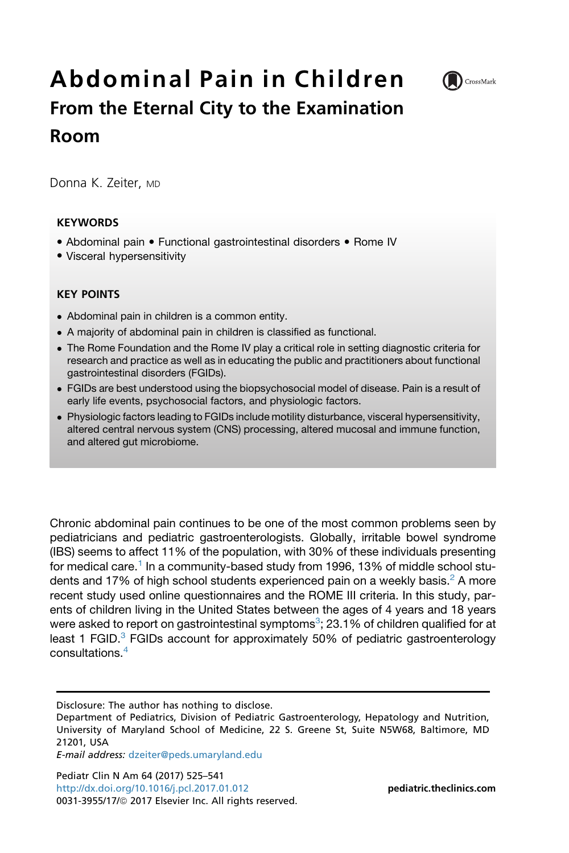# Abdominal Pain in Children From the Eternal City to the Examination Room



Donna K. Zeiter, MD

## **KEYWORDS**

- Abdominal pain Functional gastrointestinal disorders Rome IV
- Visceral hypersensitivity

## KEY POINTS

- Abdominal pain in children is a common entity.
- A majority of abdominal pain in children is classified as functional.
- The Rome Foundation and the Rome IV play a critical role in setting diagnostic criteria for research and practice as well as in educating the public and practitioners about functional gastrointestinal disorders (FGIDs).
- FGIDs are best understood using the biopsychosocial model of disease. Pain is a result of early life events, psychosocial factors, and physiologic factors.
- Physiologic factors leading to FGIDs include motility disturbance, visceral hypersensitivity, altered central nervous system (CNS) processing, altered mucosal and immune function, and altered gut microbiome.

Chronic abdominal pain continues to be one of the most common problems seen by pediatricians and pediatric gastroenterologists. Globally, irritable bowel syndrome (IBS) seems to affect 11% of the population, with 30% of these individuals presenting for medical care.<sup>[1](#page-14-0)</sup> In a community-based study from 1996, 13% of middle school stu-dents and 17% of high school students experienced pain on a weekly basis.<sup>[2](#page-14-0)</sup> A more recent study used online questionnaires and the ROME III criteria. In this study, parents of children living in the United States between the ages of 4 years and 18 years were asked to report on gastrointestinal symptoms $^{\circ};$  2[3](#page-14-0).1% of children qualified for at least 1 FGID. $3$  FGIDs account for approximately 50% of pediatric gastroenterology consultations.[4](#page-14-0)

Disclosure: The author has nothing to disclose.

E-mail address: [dzeiter@peds.umaryland.edu](mailto:dzeiter@peds.umaryland.edu)

Pediatr Clin N Am 64 (2017) 525–541 <http://dx.doi.org/10.1016/j.pcl.2017.01.012> **[pediatric.theclinics.com](http://pediatric.theclinics.com)** 0031-3955/17/@ 2017 Elsevier Inc. All rights reserved.

Department of Pediatrics, Division of Pediatric Gastroenterology, Hepatology and Nutrition, University of Maryland School of Medicine, 22 S. Greene St, Suite N5W68, Baltimore, MD 21201, USA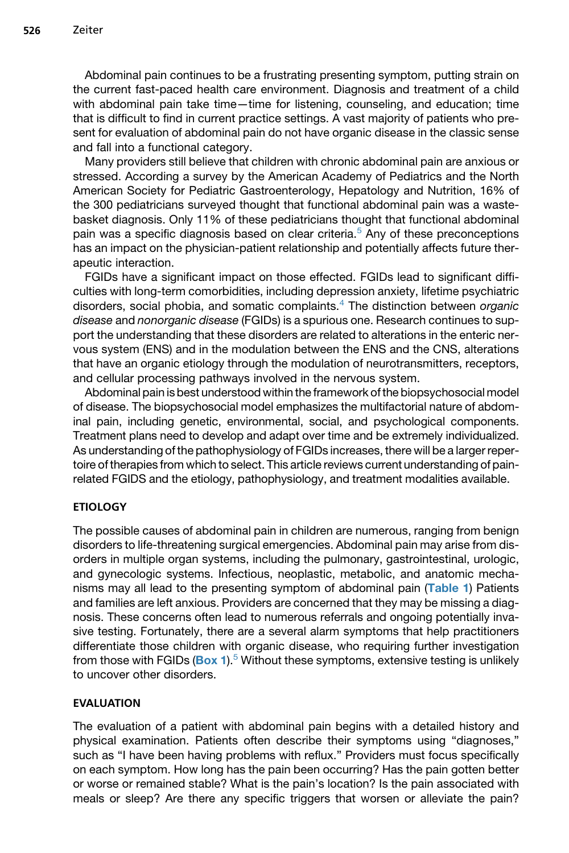Abdominal pain continues to be a frustrating presenting symptom, putting strain on the current fast-paced health care environment. Diagnosis and treatment of a child with abdominal pain take time—time for listening, counseling, and education; time that is difficult to find in current practice settings. A vast majority of patients who present for evaluation of abdominal pain do not have organic disease in the classic sense and fall into a functional category.

Many providers still believe that children with chronic abdominal pain are anxious or stressed. According a survey by the American Academy of Pediatrics and the North American Society for Pediatric Gastroenterology, Hepatology and Nutrition, 16% of the 300 pediatricians surveyed thought that functional abdominal pain was a wastebasket diagnosis. Only 11% of these pediatricians thought that functional abdominal pain was a specific diagnosis based on clear criteria.<sup>[5](#page-14-0)</sup> Any of these preconceptions has an impact on the physician-patient relationship and potentially affects future therapeutic interaction.

FGIDs have a significant impact on those effected. FGIDs lead to significant difficulties with long-term comorbidities, including depression anxiety, lifetime psychiatric disorders, social phobia, and somatic complaints.[4](#page-14-0) The distinction between *organic disease* and *nonorganic disease* (FGIDs) is a spurious one. Research continues to support the understanding that these disorders are related to alterations in the enteric nervous system (ENS) and in the modulation between the ENS and the CNS, alterations that have an organic etiology through the modulation of neurotransmitters, receptors, and cellular processing pathways involved in the nervous system.

Abdominal pain is best understood within the framework of the biopsychosocial model of disease. The biopsychosocial model emphasizes the multifactorial nature of abdominal pain, including genetic, environmental, social, and psychological components. Treatment plans need to develop and adapt over time and be extremely individualized. As understanding of the pathophysiology of FGIDs increases, there will be a larger repertoire of therapies from which to select. This article reviews current understanding of painrelated FGIDS and the etiology, pathophysiology, and treatment modalities available.

# ETIOLOGY

The possible causes of abdominal pain in children are numerous, ranging from benign disorders to life-threatening surgical emergencies. Abdominal pain may arise from disorders in multiple organ systems, including the pulmonary, gastrointestinal, urologic, and gynecologic systems. Infectious, neoplastic, metabolic, and anatomic mechanisms may all lead to the presenting symptom of abdominal pain ([Table 1](#page-2-0)) Patients and families are left anxious. Providers are concerned that they may be missing a diagnosis. These concerns often lead to numerous referrals and ongoing potentially invasive testing. Fortunately, there are a several alarm symptoms that help practitioners differentiate those children with organic disease, who requiring further investigation from those with FGIDs  $(Box 1)^5$  $(Box 1)^5$  $(Box 1)^5$  Without these symptoms, extensive testing is unlikely to uncover other disorders.

## EVALUATION

The evaluation of a patient with abdominal pain begins with a detailed history and physical examination. Patients often describe their symptoms using "diagnoses," such as "I have been having problems with reflux." Providers must focus specifically on each symptom. How long has the pain been occurring? Has the pain gotten better or worse or remained stable? What is the pain's location? Is the pain associated with meals or sleep? Are there any specific triggers that worsen or alleviate the pain?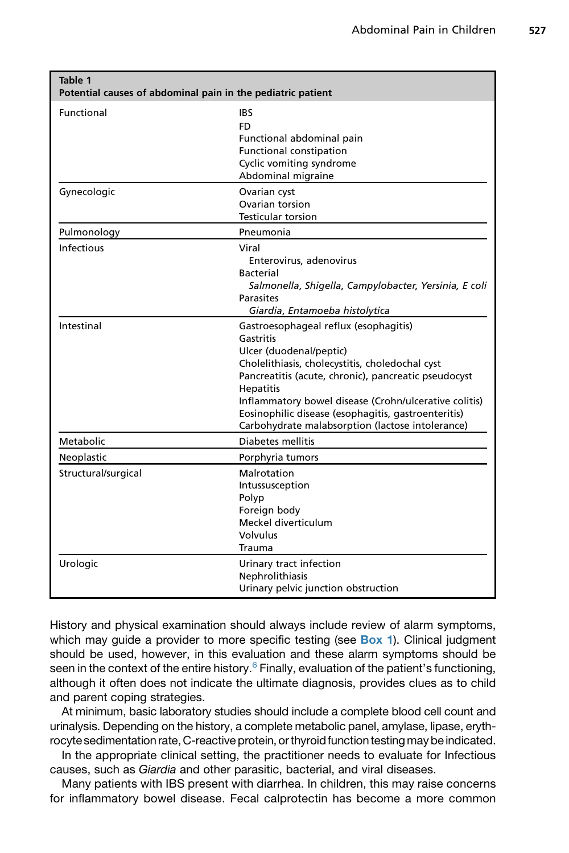<span id="page-2-0"></span>

| Table 1<br>Potential causes of abdominal pain in the pediatric patient |                                                                                                                                                                                                                                                                                                                                                                                  |
|------------------------------------------------------------------------|----------------------------------------------------------------------------------------------------------------------------------------------------------------------------------------------------------------------------------------------------------------------------------------------------------------------------------------------------------------------------------|
| Functional                                                             | IBS<br>FD<br>Functional abdominal pain<br><b>Functional constipation</b><br>Cyclic vomiting syndrome<br>Abdominal migraine                                                                                                                                                                                                                                                       |
| Gynecologic                                                            | Ovarian cyst<br>Ovarian torsion<br><b>Testicular torsion</b>                                                                                                                                                                                                                                                                                                                     |
| Pulmonology                                                            | Pneumonia                                                                                                                                                                                                                                                                                                                                                                        |
| <b>Infectious</b>                                                      | Viral<br>Enterovirus, adenovirus<br><b>Bacterial</b><br>Salmonella, Shigella, Campylobacter, Yersinia, E coli<br>Parasites<br>Giardia, Entamoeba histolytica                                                                                                                                                                                                                     |
| Intestinal                                                             | Gastroesophageal reflux (esophagitis)<br>Gastritis<br>Ulcer (duodenal/peptic)<br>Cholelithiasis, cholecystitis, choledochal cyst<br>Pancreatitis (acute, chronic), pancreatic pseudocyst<br><b>Hepatitis</b><br>Inflammatory bowel disease (Crohn/ulcerative colitis)<br>Eosinophilic disease (esophagitis, gastroenteritis)<br>Carbohydrate malabsorption (lactose intolerance) |
| Metabolic                                                              | Diabetes mellitis                                                                                                                                                                                                                                                                                                                                                                |
| Neoplastic                                                             | Porphyria tumors                                                                                                                                                                                                                                                                                                                                                                 |
| Structural/surgical                                                    | Malrotation<br>Intussusception<br>Polyp<br>Foreign body<br>Meckel diverticulum<br><b>Volvulus</b><br>Trauma                                                                                                                                                                                                                                                                      |
| Urologic                                                               | Urinary tract infection<br>Nephrolithiasis<br>Urinary pelvic junction obstruction                                                                                                                                                                                                                                                                                                |

History and physical examination should always include review of alarm symptoms, which may guide a provider to more specific testing (see  $Box 1$ ). Clinical judgment should be used, however, in this evaluation and these alarm symptoms should be seen in the context of the entire history. $6$  Finally, evaluation of the patient's functioning, although it often does not indicate the ultimate diagnosis, provides clues as to child and parent coping strategies.

At minimum, basic laboratory studies should include a complete blood cell count and urinalysis. Depending on the history, a complete metabolic panel, amylase, lipase, erythrocyte sedimentation rate, C-reactive protein, or thyroid function testing may be indicated.

In the appropriate clinical setting, the practitioner needs to evaluate for Infectious causes, such as *Giardia* and other parasitic, bacterial, and viral diseases.

Many patients with IBS present with diarrhea. In children, this may raise concerns for inflammatory bowel disease. Fecal calprotectin has become a more common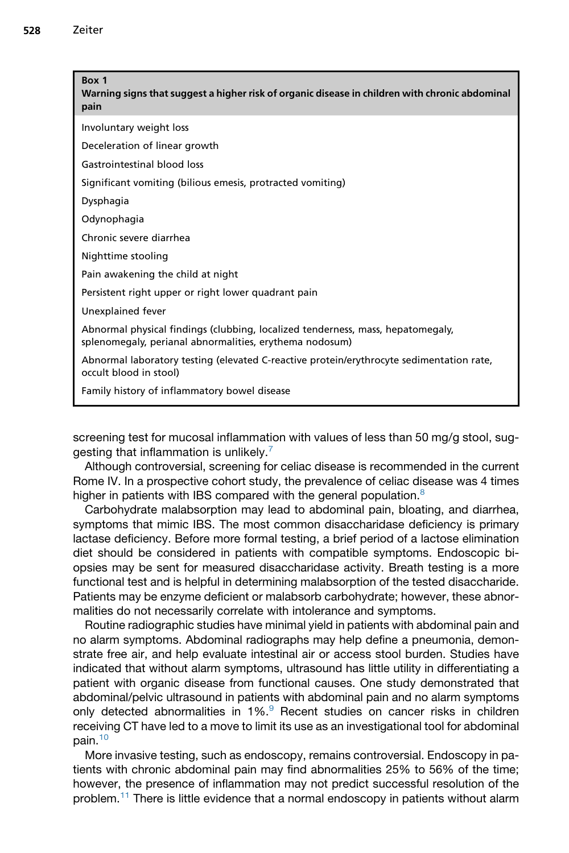<span id="page-3-0"></span>

| Box 1<br>Warning signs that suggest a higher risk of organic disease in children with chronic abdominal<br>pain                            |
|--------------------------------------------------------------------------------------------------------------------------------------------|
| Involuntary weight loss                                                                                                                    |
| Deceleration of linear growth                                                                                                              |
| Gastrointestinal blood loss                                                                                                                |
| Significant vomiting (bilious emesis, protracted vomiting)                                                                                 |
| Dysphagia                                                                                                                                  |
| Odynophagia                                                                                                                                |
| Chronic severe diarrhea                                                                                                                    |
| Nighttime stooling                                                                                                                         |
| Pain awakening the child at night                                                                                                          |
| Persistent right upper or right lower quadrant pain                                                                                        |
| Unexplained fever                                                                                                                          |
| Abnormal physical findings (clubbing, localized tenderness, mass, hepatomegaly,<br>splenomegaly, perianal abnormalities, erythema nodosum) |
| Abnormal laboratory testing (elevated C-reactive protein/erythrocyte sedimentation rate,<br>occult blood in stool)                         |
| Family history of inflammatory bowel disease                                                                                               |

screening test for mucosal inflammation with values of less than 50 mg/g stool, sug-gesting that inflammation is unlikely.<sup>[7](#page-14-0)</sup>

Although controversial, screening for celiac disease is recommended in the current Rome IV. In a prospective cohort study, the prevalence of celiac disease was 4 times higher in patients with IBS compared with the general population.<sup>[8](#page-14-0)</sup>

Carbohydrate malabsorption may lead to abdominal pain, bloating, and diarrhea, symptoms that mimic IBS. The most common disaccharidase deficiency is primary lactase deficiency. Before more formal testing, a brief period of a lactose elimination diet should be considered in patients with compatible symptoms. Endoscopic biopsies may be sent for measured disaccharidase activity. Breath testing is a more functional test and is helpful in determining malabsorption of the tested disaccharide. Patients may be enzyme deficient or malabsorb carbohydrate; however, these abnormalities do not necessarily correlate with intolerance and symptoms.

Routine radiographic studies have minimal yield in patients with abdominal pain and no alarm symptoms. Abdominal radiographs may help define a pneumonia, demonstrate free air, and help evaluate intestinal air or access stool burden. Studies have indicated that without alarm symptoms, ultrasound has little utility in differentiating a patient with organic disease from functional causes. One study demonstrated that abdominal/pelvic ultrasound in patients with abdominal pain and no alarm symptoms only detected abnormalities in 1%.<sup>[9](#page-14-0)</sup> Recent studies on cancer risks in children receiving CT have led to a move to limit its use as an investigational tool for abdominal pain.[10](#page-14-0)

More invasive testing, such as endoscopy, remains controversial. Endoscopy in patients with chronic abdominal pain may find abnormalities 25% to 56% of the time; however, the presence of inflammation may not predict successful resolution of the problem.[11](#page-14-0) There is little evidence that a normal endoscopy in patients without alarm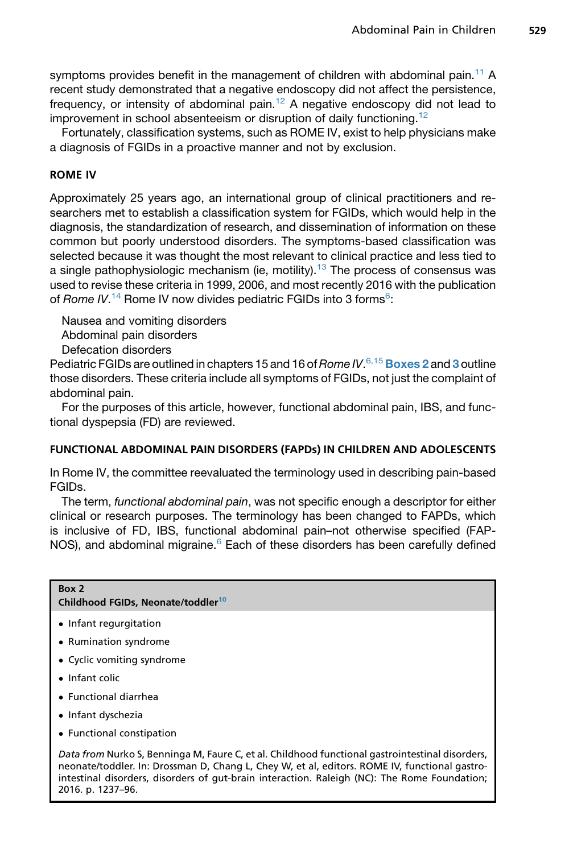symptoms provides benefit in the management of children with abdominal pain.<sup>[11](#page-14-0)</sup> A recent study demonstrated that a negative endoscopy did not affect the persistence, frequency, or intensity of abdominal pain.<sup>[12](#page-14-0)</sup> A negative endoscopy did not lead to improvement in school absenteeism or disruption of daily functioning.<sup>[12](#page-14-0)</sup>

Fortunately, classification systems, such as ROME IV, exist to help physicians make a diagnosis of FGIDs in a proactive manner and not by exclusion.

# ROME IV

Approximately 25 years ago, an international group of clinical practitioners and researchers met to establish a classification system for FGIDs, which would help in the diagnosis, the standardization of research, and dissemination of information on these common but poorly understood disorders. The symptoms-based classification was selected because it was thought the most relevant to clinical practice and less tied to a single pathophysiologic mechanism (ie, motility).<sup>[13](#page-14-0)</sup> The process of consensus was used to revise these criteria in 1999, 2006, and most recently 2016 with the publication of *Rome IV*.<sup>[14](#page-14-0)</sup> Rome IV now divides pediatric FGIDs into 3 forms<sup>[6](#page-14-0)</sup>:

Nausea and vomiting disorders Abdominal pain disorders Defecation disorders

Pediatric FGIDs are outlined in chapters 15 and 16 of*Rome IV*. [6,15](#page-14-0) Boxes 2 and [3](#page-5-0) outline those disorders. These criteria include all symptoms of FGIDs, not just the complaint of abdominal pain.

For the purposes of this article, however, functional abdominal pain, IBS, and functional dyspepsia (FD) are reviewed.

## FUNCTIONAL ABDOMINAL PAIN DISORDERS (FAPDs) IN CHILDREN AND ADOLESCENTS

In Rome IV, the committee reevaluated the terminology used in describing pain-based FGIDs.

The term, *functional abdominal pain*, was not specific enough a descriptor for either clinical or research purposes. The terminology has been changed to FAPDs, which is inclusive of FD, IBS, functional abdominal pain–not otherwise specified (FAP-NOS), and abdominal migraine.<sup>[6](#page-14-0)</sup> Each of these disorders has been carefully defined

#### Box 2

#### Childhood FGIDs, Neonate/toddler<sup>[10](#page-14-0)</sup>

- Infant regurgitation
- Rumination syndrome
- Cyclic vomiting syndrome
- Infant colic
- Functional diarrhea
- Infant dyschezia
- Functional constipation

Data from Nurko S, Benninga M, Faure C, et al. Childhood functional gastrointestinal disorders, neonate/toddler. In: Drossman D, Chang L, Chey W, et al, editors. ROME IV, functional gastrointestinal disorders, disorders of gut-brain interaction. Raleigh (NC): The Rome Foundation; 2016. p. 1237–96.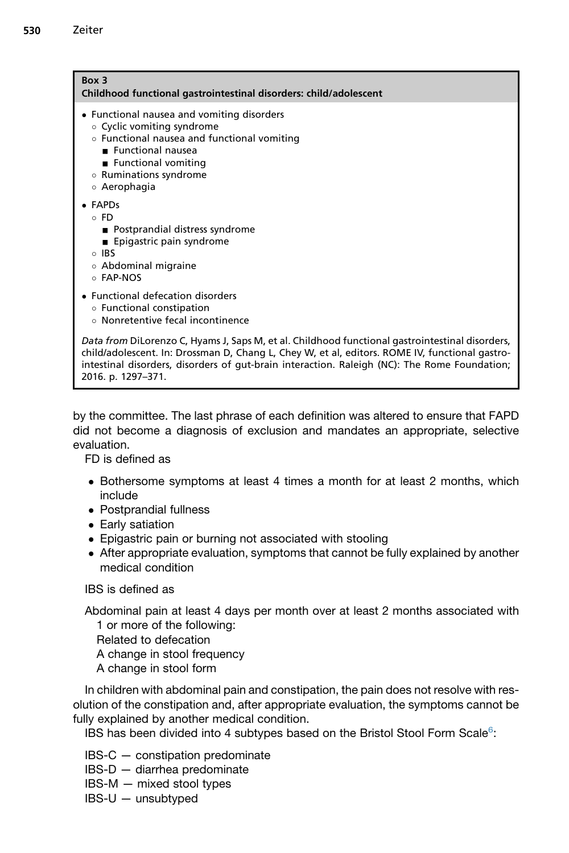<span id="page-5-0"></span>

| Box 3<br>Childhood functional gastrointestinal disorders: child/adolescent                                                                                                                                                                                                                                              |  |
|-------------------------------------------------------------------------------------------------------------------------------------------------------------------------------------------------------------------------------------------------------------------------------------------------------------------------|--|
| • Functional nausea and vomiting disorders<br>○ Cyclic vomiting syndrome<br>○ Functional nausea and functional vomiting<br>Eunctional nausea<br>■ Functional vomiting<br>○ Ruminations syndrome<br>○ Aerophagia                                                                                                         |  |
| $\bullet$ FAPDs<br>⊙ FD<br>■ Postprandial distress syndrome<br>■ Epigastric pain syndrome<br>$\circ$ IRS<br>○ Abdominal migraine<br>○ FAP-NOS                                                                                                                                                                           |  |
| • Functional defecation disorders<br>○ Functional constipation<br>○ Nonretentive fecal incontinence                                                                                                                                                                                                                     |  |
| Data from DiLorenzo C, Hyams J, Saps M, et al. Childhood functional gastrointestinal disorders,<br>child/adolescent. In: Drossman D, Chang L, Chey W, et al, editors. ROME IV, functional gastro-<br>intestinal disorders, disorders of gut-brain interaction. Raleigh (NC): The Rome Foundation;<br>2016. p. 1297-371. |  |

by the committee. The last phrase of each definition was altered to ensure that FAPD did not become a diagnosis of exclusion and mandates an appropriate, selective evaluation.

FD is defined as

- Bothersome symptoms at least 4 times a month for at least 2 months, which include
- Postprandial fullness
- Early satiation
- Epigastric pain or burning not associated with stooling
- After appropriate evaluation, symptoms that cannot be fully explained by another medical condition

IBS is defined as

Abdominal pain at least 4 days per month over at least 2 months associated with 1 or more of the following:

Related to defecation

A change in stool frequency

A change in stool form

In children with abdominal pain and constipation, the pain does not resolve with resolution of the constipation and, after appropriate evaluation, the symptoms cannot be fully explained by another medical condition.

IBS has been divided into 4 subtypes based on the Bristol Stool Form Scale<sup>[6](#page-14-0)</sup>:

IBS-C — constipation predominate

- IBS-D diarrhea predominate
- IBS-M mixed stool types
- IBS-U unsubtyped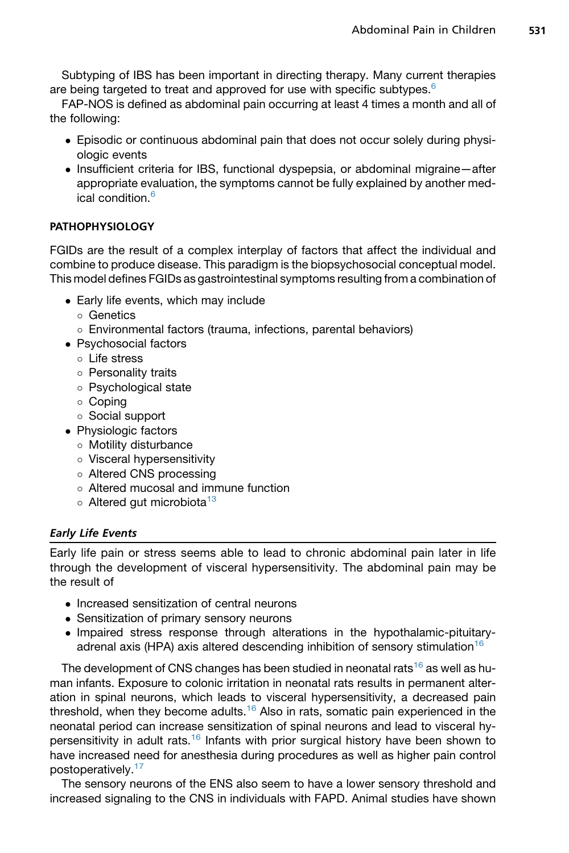Subtyping of IBS has been important in directing therapy. Many current therapies are being targeted to treat and approved for use with specific subtypes. $6$ 

FAP-NOS is defined as abdominal pain occurring at least 4 times a month and all of the following:

- Episodic or continuous abdominal pain that does not occur solely during physiologic events
- Insufficient criteria for IBS, functional dyspepsia, or abdominal migraine—after appropriate evaluation, the symptoms cannot be fully explained by another med-ical condition.<sup>[6](#page-14-0)</sup>

# PATHOPHYSIOLOGY

FGIDs are the result of a complex interplay of factors that affect the individual and combine to produce disease. This paradigm is the biopsychosocial conceptual model. This model defines FGIDs as gastrointestinal symptoms resulting from a combination of

- Early life events, which may include
	- Genetics
	- Environmental factors (trauma, infections, parental behaviors)
- Psychosocial factors
	- Life stress
	- o Personality traits
	- Psychological state
	- Coping
	- Social support
- Physiologic factors
	- Motility disturbance
	- Visceral hypersensitivity
	- Altered CNS processing
	- Altered mucosal and immune function
	- o Altered gut microbiota<sup>[13](#page-14-0)</sup>

# Early Life Events

Early life pain or stress seems able to lead to chronic abdominal pain later in life through the development of visceral hypersensitivity. The abdominal pain may be the result of

- Increased sensitization of central neurons
- Sensitization of primary sensory neurons
- Impaired stress response through alterations in the hypothalamic-pituitary-adrenal axis (HPA) axis altered descending inhibition of sensory stimulation<sup>[16](#page-14-0)</sup>

The development of CNS changes has been studied in neonatal rats<sup>[16](#page-14-0)</sup> as well as human infants. Exposure to colonic irritation in neonatal rats results in permanent alteration in spinal neurons, which leads to visceral hypersensitivity, a decreased pain threshold, when they become adults.<sup>[16](#page-14-0)</sup> Also in rats, somatic pain experienced in the neonatal period can increase sensitization of spinal neurons and lead to visceral hy-persensitivity in adult rats.<sup>[16](#page-14-0)</sup> Infants with prior surgical history have been shown to have increased need for anesthesia during procedures as well as higher pain control postoperatively.<sup>[17](#page-15-0)</sup>

The sensory neurons of the ENS also seem to have a lower sensory threshold and increased signaling to the CNS in individuals with FAPD. Animal studies have shown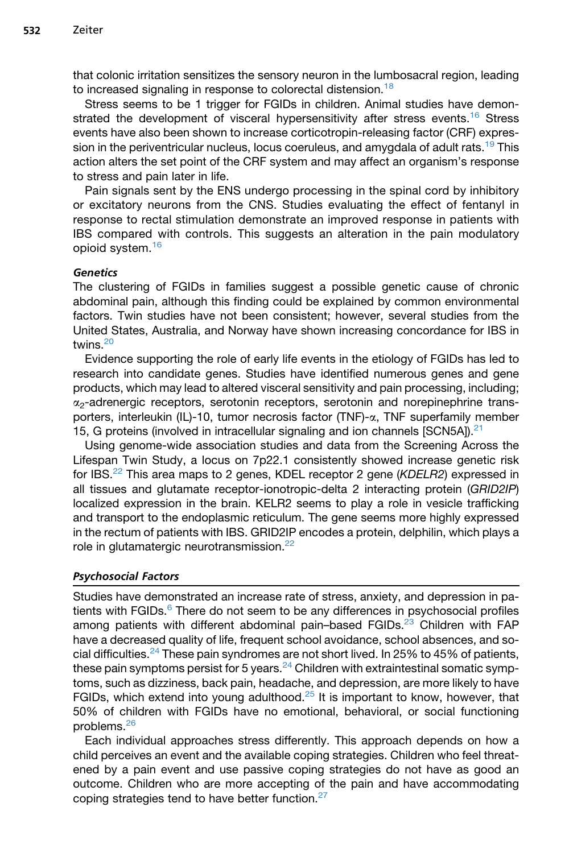that colonic irritation sensitizes the sensory neuron in the lumbosacral region, leading to increased signaling in response to colorectal distension.<sup>[18](#page-15-0)</sup>

Stress seems to be 1 trigger for FGIDs in children. Animal studies have demon-strated the development of visceral hypersensitivity after stress events.<sup>[16](#page-14-0)</sup> Stress events have also been shown to increase corticotropin-releasing factor (CRF) expres-sion in the periventricular nucleus, locus coeruleus, and amygdala of adult rats.<sup>[19](#page-15-0)</sup> This action alters the set point of the CRF system and may affect an organism's response to stress and pain later in life.

Pain signals sent by the ENS undergo processing in the spinal cord by inhibitory or excitatory neurons from the CNS. Studies evaluating the effect of fentanyl in response to rectal stimulation demonstrate an improved response in patients with IBS compared with controls. This suggests an alteration in the pain modulatory opioid system.[16](#page-14-0)

# **Genetics**

The clustering of FGIDs in families suggest a possible genetic cause of chronic abdominal pain, although this finding could be explained by common environmental factors. Twin studies have not been consistent; however, several studies from the United States, Australia, and Norway have shown increasing concordance for IBS in twins<sup>[20](#page-15-0)</sup>

Evidence supporting the role of early life events in the etiology of FGIDs has led to research into candidate genes. Studies have identified numerous genes and gene products, which may lead to altered visceral sensitivity and pain processing, including;  $\alpha$ <sub>2</sub>-adrenergic receptors, serotonin receptors, serotonin and norepinephrine transporters, interleukin (IL)-10, tumor necrosis factor (TNF)-a, TNF superfamily member 15, G proteins (involved in intracellular signaling and ion channels  $[SCN5A]$ ).<sup>[21](#page-15-0)</sup>

Using genome-wide association studies and data from the Screening Across the Lifespan Twin Study, a locus on 7p22.1 consistently showed increase genetic risk for IBS.[22](#page-15-0) This area maps to 2 genes, KDEL receptor 2 gene (*KDELR2*) expressed in all tissues and glutamate receptor-ionotropic-delta 2 interacting protein (*GRID2IP*) localized expression in the brain. KELR2 seems to play a role in vesicle trafficking and transport to the endoplasmic reticulum. The gene seems more highly expressed in the rectum of patients with IBS. GRID2IP encodes a protein, delphilin, which plays a role in glutamatergic neurotransmission.<sup>[22](#page-15-0)</sup>

# Psychosocial Factors

Studies have demonstrated an increase rate of stress, anxiety, and depression in patients with  $FGIDs.6$  $FGIDs.6$  There do not seem to be any differences in psychosocial profiles among patients with different abdominal pain–based FGIDs.<sup>[23](#page-15-0)</sup> Children with FAP have a decreased quality of life, frequent school avoidance, school absences, and so-cial difficulties.<sup>[24](#page-15-0)</sup> These pain syndromes are not short lived. In 25% to 45% of patients, these pain symptoms persist for 5 years. $24$  Children with extraintestinal somatic symptoms, such as dizziness, back pain, headache, and depression, are more likely to have FGIDs, which extend into young adulthood.<sup>[25](#page-15-0)</sup> It is important to know, however, that 50% of children with FGIDs have no emotional, behavioral, or social functioning problems.[26](#page-15-0)

Each individual approaches stress differently. This approach depends on how a child perceives an event and the available coping strategies. Children who feel threatened by a pain event and use passive coping strategies do not have as good an outcome. Children who are more accepting of the pain and have accommodating coping strategies tend to have better function.<sup>[27](#page-15-0)</sup>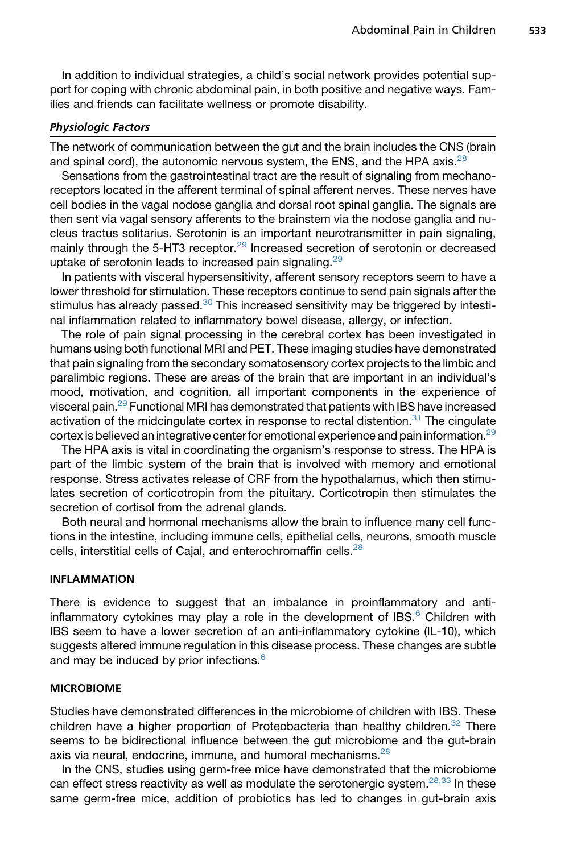In addition to individual strategies, a child's social network provides potential support for coping with chronic abdominal pain, in both positive and negative ways. Families and friends can facilitate wellness or promote disability.

#### Physiologic Factors

The network of communication between the gut and the brain includes the CNS (brain and spinal cord), the autonomic nervous system, the ENS, and the HPA axis.<sup>[28](#page-15-0)</sup>

Sensations from the gastrointestinal tract are the result of signaling from mechanoreceptors located in the afferent terminal of spinal afferent nerves. These nerves have cell bodies in the vagal nodose ganglia and dorsal root spinal ganglia. The signals are then sent via vagal sensory afferents to the brainstem via the nodose ganglia and nucleus tractus solitarius. Serotonin is an important neurotransmitter in pain signaling, mainly through the 5-HT3 receptor.<sup>[29](#page-15-0)</sup> Increased secretion of serotonin or decreased uptake of serotonin leads to increased pain signaling.<sup>[29](#page-15-0)</sup>

In patients with visceral hypersensitivity, afferent sensory receptors seem to have a lower threshold for stimulation. These receptors continue to send pain signals after the stimulus has already passed. $30$  This increased sensitivity may be triggered by intestinal inflammation related to inflammatory bowel disease, allergy, or infection.

The role of pain signal processing in the cerebral cortex has been investigated in humans using both functional MRI and PET. These imaging studies have demonstrated that pain signaling from the secondary somatosensory cortex projects to the limbic and paralimbic regions. These are areas of the brain that are important in an individual's mood, motivation, and cognition, all important components in the experience of visceral pain[.29](#page-15-0) Functional MRI has demonstrated that patients with IBS have increased activation of the midcingulate cortex in response to rectal distention. $31$  The cingulate cortex is believed an integrative center for emotional experience and pain information.<sup>[29](#page-15-0)</sup>

The HPA axis is vital in coordinating the organism's response to stress. The HPA is part of the limbic system of the brain that is involved with memory and emotional response. Stress activates release of CRF from the hypothalamus, which then stimulates secretion of corticotropin from the pituitary. Corticotropin then stimulates the secretion of cortisol from the adrenal glands.

Both neural and hormonal mechanisms allow the brain to influence many cell functions in the intestine, including immune cells, epithelial cells, neurons, smooth muscle cells, interstitial cells of Cajal, and enterochromaffin cells.<sup>[28](#page-15-0)</sup>

#### INFLAMMATION

There is evidence to suggest that an imbalance in proinflammatory and antiinflammatory cytokines may play a role in the development of IBS. $<sup>6</sup>$  $<sup>6</sup>$  $<sup>6</sup>$  Children with</sup> IBS seem to have a lower secretion of an anti-inflammatory cytokine (IL-10), which suggests altered immune regulation in this disease process. These changes are subtle and may be induced by prior infections.<sup>[6](#page-14-0)</sup>

#### MICROBIOME

Studies have demonstrated differences in the microbiome of children with IBS. These children have a higher proportion of Proteobacteria than healthy children. $32$  There seems to be bidirectional influence between the gut microbiome and the gut-brain axis via neural, endocrine, immune, and humoral mechanisms.<sup>[28](#page-15-0)</sup>

In the CNS, studies using germ-free mice have demonstrated that the microbiome can effect stress reactivity as well as modulate the serotonergic system.<sup>[28,33](#page-15-0)</sup> In these same germ-free mice, addition of probiotics has led to changes in gut-brain axis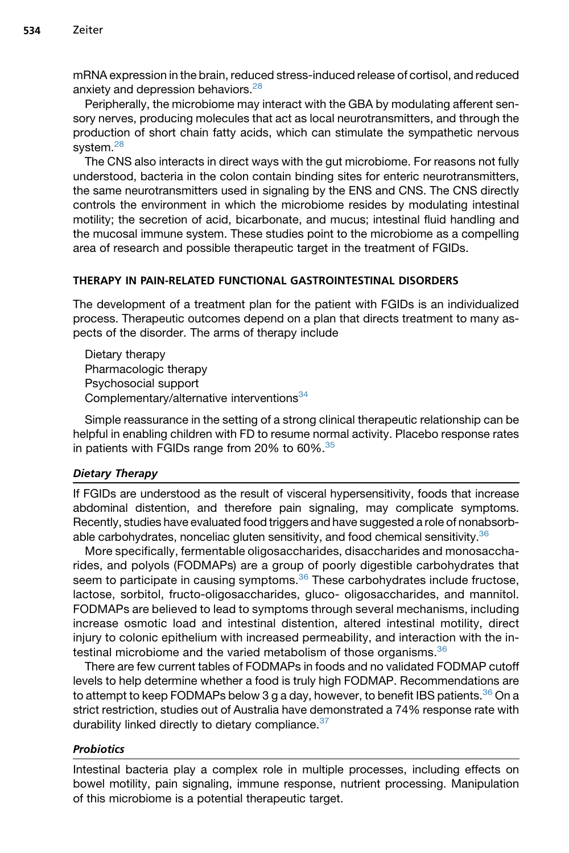mRNA expression in the brain, reduced stress-induced release of cortisol, and reduced anxiety and depression behaviors.<sup>[28](#page-15-0)</sup>

Peripherally, the microbiome may interact with the GBA by modulating afferent sensory nerves, producing molecules that act as local neurotransmitters, and through the production of short chain fatty acids, which can stimulate the sympathetic nervous system.<sup>[28](#page-15-0)</sup>

The CNS also interacts in direct ways with the gut microbiome. For reasons not fully understood, bacteria in the colon contain binding sites for enteric neurotransmitters, the same neurotransmitters used in signaling by the ENS and CNS. The CNS directly controls the environment in which the microbiome resides by modulating intestinal motility; the secretion of acid, bicarbonate, and mucus; intestinal fluid handling and the mucosal immune system. These studies point to the microbiome as a compelling area of research and possible therapeutic target in the treatment of FGIDs.

## THERAPY IN PAIN-RELATED FUNCTIONAL GASTROINTESTINAL DISORDERS

The development of a treatment plan for the patient with FGIDs is an individualized process. Therapeutic outcomes depend on a plan that directs treatment to many aspects of the disorder. The arms of therapy include

Dietary therapy Pharmacologic therapy Psychosocial support Complementary/alternative interventions<sup>[34](#page-15-0)</sup>

Simple reassurance in the setting of a strong clinical therapeutic relationship can be helpful in enabling children with FD to resume normal activity. Placebo response rates in patients with FGIDs range from 20% to  $60\%$ .<sup>[35](#page-15-0)</sup>

## Dietary Therapy

If FGIDs are understood as the result of visceral hypersensitivity, foods that increase abdominal distention, and therefore pain signaling, may complicate symptoms. Recently, studies have evaluated food triggers and have suggested a role of nonabsorbable carbohydrates, nonceliac gluten sensitivity, and food chemical sensitivity. $36$ 

More specifically, fermentable oligosaccharides, disaccharides and monosaccharides, and polyols (FODMAPs) are a group of poorly digestible carbohydrates that seem to participate in causing symptoms.<sup>[36](#page-15-0)</sup> These carbohydrates include fructose, lactose, sorbitol, fructo-oligosaccharides, gluco- oligosaccharides, and mannitol. FODMAPs are believed to lead to symptoms through several mechanisms, including increase osmotic load and intestinal distention, altered intestinal motility, direct injury to colonic epithelium with increased permeability, and interaction with the intestinal microbiome and the varied metabolism of those organisms. $36$ 

There are few current tables of FODMAPs in foods and no validated FODMAP cutoff levels to help determine whether a food is truly high FODMAP. Recommendations are to attempt to keep FODMAPs below 3 g a day, however, to benefit IBS patients.<sup>[36](#page-15-0)</sup> On a strict restriction, studies out of Australia have demonstrated a 74% response rate with durability linked directly to dietary compliance.<sup>[37](#page-15-0)</sup>

## **Probiotics**

Intestinal bacteria play a complex role in multiple processes, including effects on bowel motility, pain signaling, immune response, nutrient processing. Manipulation of this microbiome is a potential therapeutic target.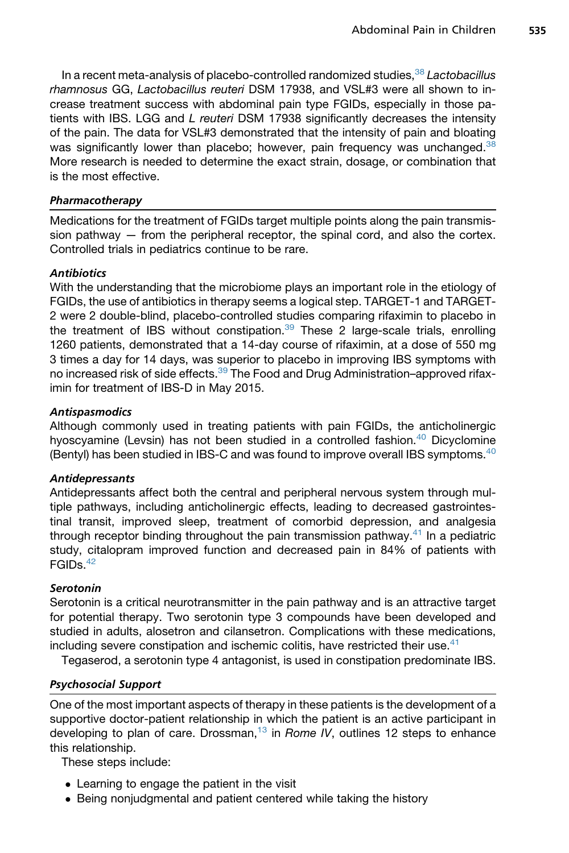In a recent meta-analysis of placebo-controlled randomized studies,[38](#page-16-0) *Lactobacillus rhamnosus* GG, *Lactobacillus reuteri* DSM 17938, and VSL#3 were all shown to increase treatment success with abdominal pain type FGIDs, especially in those patients with IBS. LGG and *L reuteri* DSM 17938 significantly decreases the intensity of the pain. The data for VSL#3 demonstrated that the intensity of pain and bloating was significantly lower than placebo; however, pain frequency was unchanged. $38$ More research is needed to determine the exact strain, dosage, or combination that is the most effective.

## Pharmacotherapy

Medications for the treatment of FGIDs target multiple points along the pain transmission pathway  $-$  from the peripheral receptor, the spinal cord, and also the cortex. Controlled trials in pediatrics continue to be rare.

## **Antibiotics**

With the understanding that the microbiome plays an important role in the etiology of FGIDs, the use of antibiotics in therapy seems a logical step. TARGET-1 and TARGET-2 were 2 double-blind, placebo-controlled studies comparing rifaximin to placebo in the treatment of IBS without constipation. $39$  These 2 large-scale trials, enrolling 1260 patients, demonstrated that a 14-day course of rifaximin, at a dose of 550 mg 3 times a day for 14 days, was superior to placebo in improving IBS symptoms with no increased risk of side effects.<sup>[39](#page-16-0)</sup> The Food and Drug Administration–approved rifaximin for treatment of IBS-D in May 2015.

## **Antispasmodics**

Although commonly used in treating patients with pain FGIDs, the anticholinergic hyoscyamine (Levsin) has not been studied in a controlled fashion. $40$  Dicyclomine (Bentyl) has been studied in IBS-C and was found to improve overall IBS symptoms. $^{40}$ 

# Antidepressants

Antidepressants affect both the central and peripheral nervous system through multiple pathways, including anticholinergic effects, leading to decreased gastrointestinal transit, improved sleep, treatment of comorbid depression, and analgesia through receptor binding throughout the pain transmission pathway.<sup>41</sup> In a pediatric study, citalopram improved function and decreased pain in 84% of patients with FGIDs[.42](#page-16-0)

## Serotonin

Serotonin is a critical neurotransmitter in the pain pathway and is an attractive target for potential therapy. Two serotonin type 3 compounds have been developed and studied in adults, alosetron and cilansetron. Complications with these medications, including severe constipation and ischemic colitis, have restricted their use. $41$ 

Tegaserod, a serotonin type 4 antagonist, is used in constipation predominate IBS.

# Psychosocial Support

One of the most important aspects of therapy in these patients is the development of a supportive doctor-patient relationship in which the patient is an active participant in developing to plan of care. Drossman,<sup>[13](#page-14-0)</sup> in *Rome IV*, outlines 12 steps to enhance this relationship.

These steps include:

- Learning to engage the patient in the visit
- Being nonjudgmental and patient centered while taking the history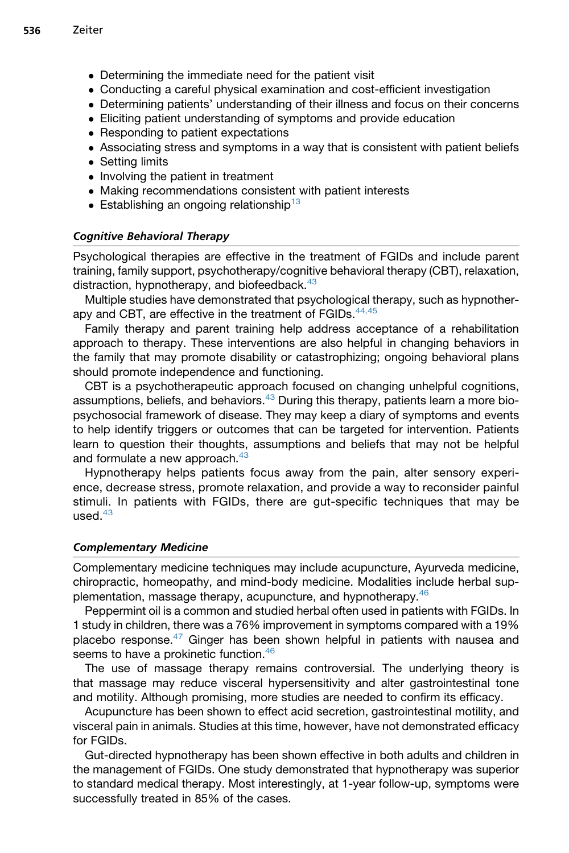- Determining the immediate need for the patient visit
- Conducting a careful physical examination and cost-efficient investigation
- Determining patients' understanding of their illness and focus on their concerns
- Eliciting patient understanding of symptoms and provide education
- Responding to patient expectations
- Associating stress and symptoms in a way that is consistent with patient beliefs
- Setting limits
- Involving the patient in treatment
- Making recommendations consistent with patient interests
- **Establishing an ongoing relationship**<sup>[13](#page-14-0)</sup>

#### Cognitive Behavioral Therapy

Psychological therapies are effective in the treatment of FGIDs and include parent training, family support, psychotherapy/cognitive behavioral therapy (CBT), relaxation, distraction, hypnotherapy, and biofeedback.<sup>[43](#page-16-0)</sup>

Multiple studies have demonstrated that psychological therapy, such as hypnother-apy and CBT, are effective in the treatment of FGIDs.<sup>[44,45](#page-16-0)</sup>

Family therapy and parent training help address acceptance of a rehabilitation approach to therapy. These interventions are also helpful in changing behaviors in the family that may promote disability or catastrophizing; ongoing behavioral plans should promote independence and functioning.

CBT is a psychotherapeutic approach focused on changing unhelpful cognitions, assumptions, beliefs, and behaviors. $43$  During this therapy, patients learn a more biopsychosocial framework of disease. They may keep a diary of symptoms and events to help identify triggers or outcomes that can be targeted for intervention. Patients learn to question their thoughts, assumptions and beliefs that may not be helpful and formulate a new approach.<sup>[43](#page-16-0)</sup>

Hypnotherapy helps patients focus away from the pain, alter sensory experience, decrease stress, promote relaxation, and provide a way to reconsider painful stimuli. In patients with FGIDs, there are gut-specific techniques that may be  $used<sup>43</sup>$  $used<sup>43</sup>$  $used<sup>43</sup>$ 

#### Complementary Medicine

Complementary medicine techniques may include acupuncture, Ayurveda medicine, chiropractic, homeopathy, and mind-body medicine. Modalities include herbal supplementation, massage therapy, acupuncture, and hypnotherapy.[46](#page-16-0)

Peppermint oil is a common and studied herbal often used in patients with FGIDs. In 1 study in children, there was a 76% improvement in symptoms compared with a 19% placebo response. $47$  Ginger has been shown helpful in patients with nausea and seems to have a prokinetic function.<sup>46</sup>

The use of massage therapy remains controversial. The underlying theory is that massage may reduce visceral hypersensitivity and alter gastrointestinal tone and motility. Although promising, more studies are needed to confirm its efficacy.

Acupuncture has been shown to effect acid secretion, gastrointestinal motility, and visceral pain in animals. Studies at this time, however, have not demonstrated efficacy for FGIDs.

Gut-directed hypnotherapy has been shown effective in both adults and children in the management of FGIDs. One study demonstrated that hypnotherapy was superior to standard medical therapy. Most interestingly, at 1-year follow-up, symptoms were successfully treated in 85% of the cases.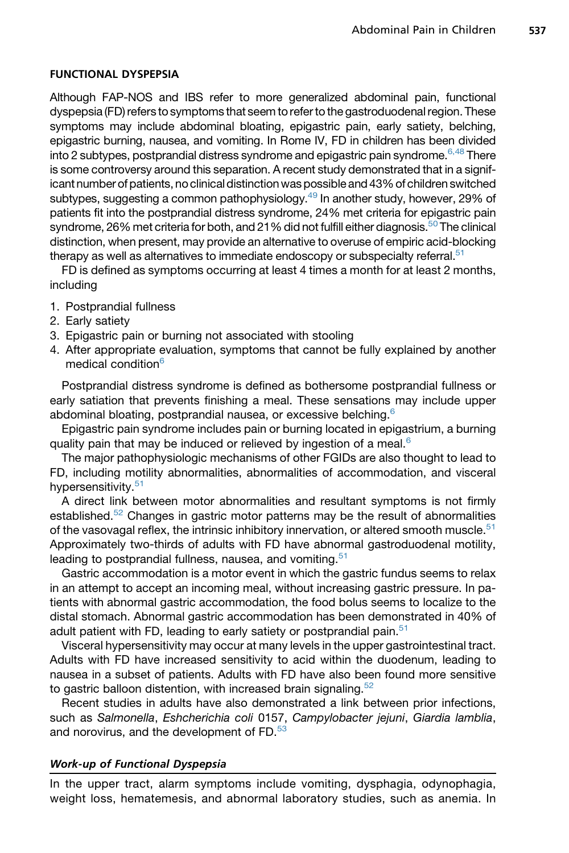### FUNCTIONAL DYSPEPSIA

Although FAP-NOS and IBS refer to more generalized abdominal pain, functional dyspepsia (FD) refers to symptoms that seem to refer to the gastroduodenal region. These symptoms may include abdominal bloating, epigastric pain, early satiety, belching, epigastric burning, nausea, and vomiting. In Rome IV, FD in children has been divided into 2 subtypes, postprandial distress syndrome and epigastric pain syndrome.  $6,48$  There is some controversy around this separation. A recent study demonstrated that in a significant number of patients, no clinical distinction was possible and 43% of children switched subtypes, suggesting a common pathophysiology.<sup>[49](#page-16-0)</sup> In another study, however, 29% of patients fit into the postprandial distress syndrome, 24% met criteria for epigastric pain syndrome, 26% met criteria for both, and 21% did not fulfill either diagnosis.<sup>50</sup> The clinical distinction, when present, may provide an alternative to overuse of empiric acid-blocking therapy as well as alternatives to immediate endoscopy or subspecialty referral.<sup>[51](#page-16-0)</sup>

FD is defined as symptoms occurring at least 4 times a month for at least 2 months, including

- 1. Postprandial fullness
- 2. Early satiety
- 3. Epigastric pain or burning not associated with stooling
- 4. After appropriate evaluation, symptoms that cannot be fully explained by another medical condition<sup>[6](#page-14-0)</sup>

Postprandial distress syndrome is defined as bothersome postprandial fullness or early satiation that prevents finishing a meal. These sensations may include upper abdominal bloating, postprandial nausea, or excessive belching.<sup>[6](#page-14-0)</sup>

Epigastric pain syndrome includes pain or burning located in epigastrium, a burning quality pain that may be induced or relieved by ingestion of a meal.<sup>[6](#page-14-0)</sup>

The major pathophysiologic mechanisms of other FGIDs are also thought to lead to FD, including motility abnormalities, abnormalities of accommodation, and visceral hypersensitivity.<sup>[51](#page-16-0)</sup>

A direct link between motor abnormalities and resultant symptoms is not firmly established.<sup>[52](#page-16-0)</sup> Changes in gastric motor patterns may be the result of abnormalities of the vasovagal reflex, the intrinsic inhibitory innervation, or altered smooth muscle. $51$ Approximately two-thirds of adults with FD have abnormal gastroduodenal motility, leading to postprandial fullness, nausea, and vomiting.<sup>[51](#page-16-0)</sup>

Gastric accommodation is a motor event in which the gastric fundus seems to relax in an attempt to accept an incoming meal, without increasing gastric pressure. In patients with abnormal gastric accommodation, the food bolus seems to localize to the distal stomach. Abnormal gastric accommodation has been demonstrated in 40% of adult patient with FD, leading to early satiety or postprandial pain.<sup>[51](#page-16-0)</sup>

Visceral hypersensitivity may occur at many levels in the upper gastrointestinal tract. Adults with FD have increased sensitivity to acid within the duodenum, leading to nausea in a subset of patients. Adults with FD have also been found more sensitive to gastric balloon distention, with increased brain signaling. $52$ 

Recent studies in adults have also demonstrated a link between prior infections, such as *Salmonella*, *Eshcherichia coli* 0157, *Campylobacter jejuni*, *Giardia lamblia*, and norovirus, and the development of FD.<sup>[53](#page-16-0)</sup>

### Work-up of Functional Dyspepsia

In the upper tract, alarm symptoms include vomiting, dysphagia, odynophagia, weight loss, hematemesis, and abnormal laboratory studies, such as anemia. In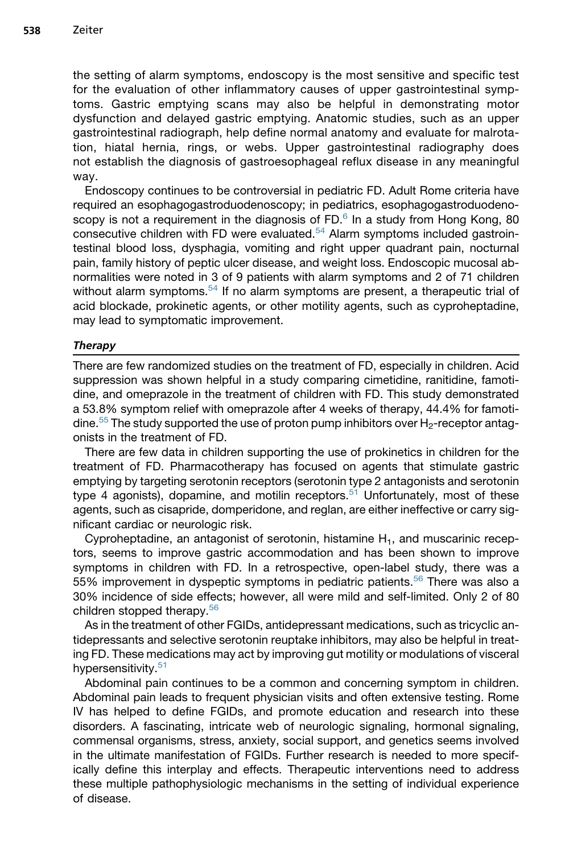the setting of alarm symptoms, endoscopy is the most sensitive and specific test for the evaluation of other inflammatory causes of upper gastrointestinal symptoms. Gastric emptying scans may also be helpful in demonstrating motor dysfunction and delayed gastric emptying. Anatomic studies, such as an upper gastrointestinal radiograph, help define normal anatomy and evaluate for malrotation, hiatal hernia, rings, or webs. Upper gastrointestinal radiography does not establish the diagnosis of gastroesophageal reflux disease in any meaningful way.

Endoscopy continues to be controversial in pediatric FD. Adult Rome criteria have required an esophagogastroduodenoscopy; in pediatrics, esophagogastroduodenoscopy is not a requirement in the diagnosis of  $FD<sup>6</sup>$  $FD<sup>6</sup>$  $FD<sup>6</sup>$  In a study from Hong Kong, 80 consecutive children with FD were evaluated.[54](#page-16-0) Alarm symptoms included gastrointestinal blood loss, dysphagia, vomiting and right upper quadrant pain, nocturnal pain, family history of peptic ulcer disease, and weight loss. Endoscopic mucosal abnormalities were noted in 3 of 9 patients with alarm symptoms and 2 of 71 children without alarm symptoms.<sup>54</sup> If no alarm symptoms are present, a therapeutic trial of acid blockade, prokinetic agents, or other motility agents, such as cyproheptadine, may lead to symptomatic improvement.

#### **Therapy**

There are few randomized studies on the treatment of FD, especially in children. Acid suppression was shown helpful in a study comparing cimetidine, ranitidine, famotidine, and omeprazole in the treatment of children with FD. This study demonstrated a 53.8% symptom relief with omeprazole after 4 weeks of therapy, 44.4% for famoti-dine.<sup>[55](#page-16-0)</sup> The study supported the use of proton pump inhibitors over  $H_2$ -receptor antagonists in the treatment of FD.

There are few data in children supporting the use of prokinetics in children for the treatment of FD. Pharmacotherapy has focused on agents that stimulate gastric emptying by targeting serotonin receptors (serotonin type 2 antagonists and serotonin type 4 agonists), dopamine, and motilin receptors.<sup>[51](#page-16-0)</sup> Unfortunately, most of these agents, such as cisapride, domperidone, and reglan, are either ineffective or carry significant cardiac or neurologic risk.

Cyproheptadine, an antagonist of serotonin, histamine  $H_1$ , and muscarinic receptors, seems to improve gastric accommodation and has been shown to improve symptoms in children with FD. In a retrospective, open-label study, there was a 55% improvement in dyspeptic symptoms in pediatric patients.<sup>[56](#page-16-0)</sup> There was also a 30% incidence of side effects; however, all were mild and self-limited. Only 2 of 80 children stopped therapy.[56](#page-16-0)

As in the treatment of other FGIDs, antidepressant medications, such as tricyclic antidepressants and selective serotonin reuptake inhibitors, may also be helpful in treating FD. These medications may act by improving gut motility or modulations of visceral hypersensitivity.<sup>[51](#page-16-0)</sup>

Abdominal pain continues to be a common and concerning symptom in children. Abdominal pain leads to frequent physician visits and often extensive testing. Rome IV has helped to define FGIDs, and promote education and research into these disorders. A fascinating, intricate web of neurologic signaling, hormonal signaling, commensal organisms, stress, anxiety, social support, and genetics seems involved in the ultimate manifestation of FGIDs. Further research is needed to more specifically define this interplay and effects. Therapeutic interventions need to address these multiple pathophysiologic mechanisms in the setting of individual experience of disease.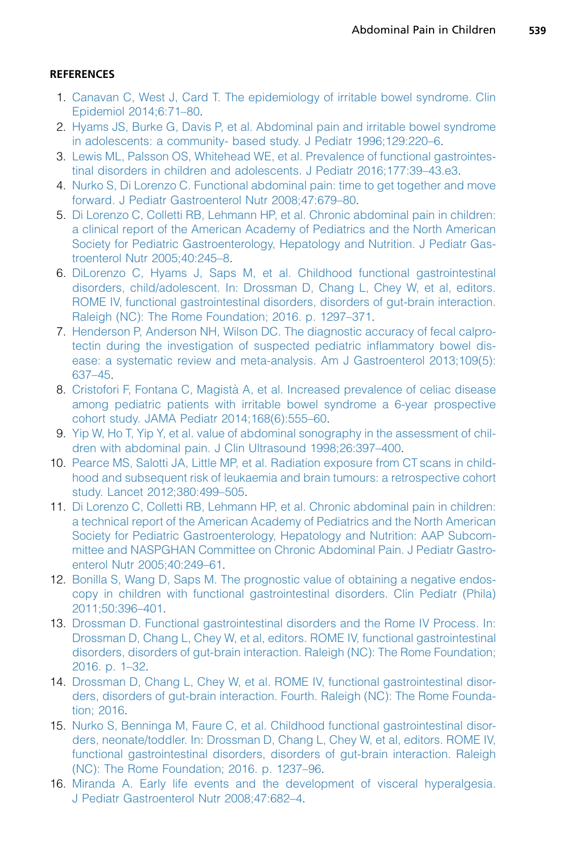## <span id="page-14-0"></span>**REFERENCES**

- 1. [Canavan C, West J, Card T. The epidemiology of irritable bowel syndrome. Clin](http://refhub.elsevier.com/S0031-3955(17)30012-3/sref1) [Epidemiol 2014;6:71–80.](http://refhub.elsevier.com/S0031-3955(17)30012-3/sref1)
- 2. [Hyams JS, Burke G, Davis P, et al. Abdominal pain and irritable bowel syndrome](http://refhub.elsevier.com/S0031-3955(17)30012-3/sref2) [in adolescents: a community- based study. J Pediatr 1996;129:220–6](http://refhub.elsevier.com/S0031-3955(17)30012-3/sref2).
- 3. [Lewis ML, Palsson OS, Whitehead WE, et al. Prevalence of functional gastrointes](http://refhub.elsevier.com/S0031-3955(17)30012-3/sref3)[tinal disorders in children and adolescents. J Pediatr 2016;177:39–43.e3.](http://refhub.elsevier.com/S0031-3955(17)30012-3/sref3)
- 4. [Nurko S, Di Lorenzo C. Functional abdominal pain: time to get together and move](http://refhub.elsevier.com/S0031-3955(17)30012-3/sref4) [forward. J Pediatr Gastroenterol Nutr 2008;47:679–80](http://refhub.elsevier.com/S0031-3955(17)30012-3/sref4).
- 5. [Di Lorenzo C, Colletti RB, Lehmann HP, et al. Chronic abdominal pain in children:](http://refhub.elsevier.com/S0031-3955(17)30012-3/sref5) [a clinical report of the American Academy of Pediatrics and the North American](http://refhub.elsevier.com/S0031-3955(17)30012-3/sref5) [Society for Pediatric Gastroenterology, Hepatology and Nutrition. J Pediatr Gas](http://refhub.elsevier.com/S0031-3955(17)30012-3/sref5)[troenterol Nutr 2005;40:245–8](http://refhub.elsevier.com/S0031-3955(17)30012-3/sref5).
- 6. [DiLorenzo C, Hyams J, Saps M, et al. Childhood functional gastrointestinal](http://refhub.elsevier.com/S0031-3955(17)30012-3/sref6) [disorders, child/adolescent. In: Drossman D, Chang L, Chey W, et al, editors.](http://refhub.elsevier.com/S0031-3955(17)30012-3/sref6) [ROME IV, functional gastrointestinal disorders, disorders of gut-brain interaction.](http://refhub.elsevier.com/S0031-3955(17)30012-3/sref6) [Raleigh \(NC\): The Rome Foundation; 2016. p. 1297–371](http://refhub.elsevier.com/S0031-3955(17)30012-3/sref6).
- 7. [Henderson P, Anderson NH, Wilson DC. The diagnostic accuracy of fecal calpro](http://refhub.elsevier.com/S0031-3955(17)30012-3/sref7)[tectin during the investigation of suspected pediatric inflammatory bowel dis](http://refhub.elsevier.com/S0031-3955(17)30012-3/sref7)[ease: a systematic review and meta-analysis. Am J Gastroenterol 2013;109\(5\):](http://refhub.elsevier.com/S0031-3955(17)30012-3/sref7) [637–45](http://refhub.elsevier.com/S0031-3955(17)30012-3/sref7).
- 8. Cristofori F, Fontana C, Magistà [A, et al. Increased prevalence of celiac disease](http://refhub.elsevier.com/S0031-3955(17)30012-3/sref8) [among pediatric patients with irritable bowel syndrome a 6-year prospective](http://refhub.elsevier.com/S0031-3955(17)30012-3/sref8) [cohort study. JAMA Pediatr 2014;168\(6\):555–60.](http://refhub.elsevier.com/S0031-3955(17)30012-3/sref8)
- 9. [Yip W, Ho T, Yip Y, et al. value of abdominal sonography in the assessment of chil](http://refhub.elsevier.com/S0031-3955(17)30012-3/sref9)[dren with abdominal pain. J Clin Ultrasound 1998;26:397–400](http://refhub.elsevier.com/S0031-3955(17)30012-3/sref9).
- 10. [Pearce MS, Salotti JA, Little MP, et al. Radiation exposure from CT scans in child](http://refhub.elsevier.com/S0031-3955(17)30012-3/sref10)[hood and subsequent risk of leukaemia and brain tumours: a retrospective cohort](http://refhub.elsevier.com/S0031-3955(17)30012-3/sref10) [study. Lancet 2012;380:499–505.](http://refhub.elsevier.com/S0031-3955(17)30012-3/sref10)
- 11. [Di Lorenzo C, Colletti RB, Lehmann HP, et al. Chronic abdominal pain in children:](http://refhub.elsevier.com/S0031-3955(17)30012-3/sref11) [a technical report of the American Academy of Pediatrics and the North American](http://refhub.elsevier.com/S0031-3955(17)30012-3/sref11) [Society for Pediatric Gastroenterology, Hepatology and Nutrition: AAP Subcom](http://refhub.elsevier.com/S0031-3955(17)30012-3/sref11)[mittee and NASPGHAN Committee on Chronic Abdominal Pain. J Pediatr Gastro](http://refhub.elsevier.com/S0031-3955(17)30012-3/sref11)[enterol Nutr 2005;40:249–61.](http://refhub.elsevier.com/S0031-3955(17)30012-3/sref11)
- 12. [Bonilla S, Wang D, Saps M. The prognostic value of obtaining a negative endos](http://refhub.elsevier.com/S0031-3955(17)30012-3/sref12)[copy in children with functional gastrointestinal disorders. Clin Pediatr \(Phila\)](http://refhub.elsevier.com/S0031-3955(17)30012-3/sref12) [2011;50:396–401.](http://refhub.elsevier.com/S0031-3955(17)30012-3/sref12)
- 13. [Drossman D. Functional gastrointestinal disorders and the Rome IV Process. In:](http://refhub.elsevier.com/S0031-3955(17)30012-3/sref13) [Drossman D, Chang L, Chey W, et al, editors. ROME IV, functional gastrointestinal](http://refhub.elsevier.com/S0031-3955(17)30012-3/sref13) [disorders, disorders of gut-brain interaction. Raleigh \(NC\): The Rome Foundation;](http://refhub.elsevier.com/S0031-3955(17)30012-3/sref13) [2016. p. 1–32](http://refhub.elsevier.com/S0031-3955(17)30012-3/sref13).
- 14. [Drossman D, Chang L, Chey W, et al. ROME IV, functional gastrointestinal disor](http://refhub.elsevier.com/S0031-3955(17)30012-3/sref14)[ders, disorders of gut-brain interaction. Fourth. Raleigh \(NC\): The Rome Founda](http://refhub.elsevier.com/S0031-3955(17)30012-3/sref14)[tion; 2016](http://refhub.elsevier.com/S0031-3955(17)30012-3/sref14).
- 15. [Nurko S, Benninga M, Faure C, et al. Childhood functional gastrointestinal disor](http://refhub.elsevier.com/S0031-3955(17)30012-3/sref15)[ders, neonate/toddler. In: Drossman D, Chang L, Chey W, et al, editors. ROME IV,](http://refhub.elsevier.com/S0031-3955(17)30012-3/sref15) [functional gastrointestinal disorders, disorders of gut-brain interaction. Raleigh](http://refhub.elsevier.com/S0031-3955(17)30012-3/sref15) [\(NC\): The Rome Foundation; 2016. p. 1237–96.](http://refhub.elsevier.com/S0031-3955(17)30012-3/sref15)
- 16. [Miranda A. Early life events and the development of visceral hyperalgesia.](http://refhub.elsevier.com/S0031-3955(17)30012-3/sref16) [J Pediatr Gastroenterol Nutr 2008;47:682–4](http://refhub.elsevier.com/S0031-3955(17)30012-3/sref16).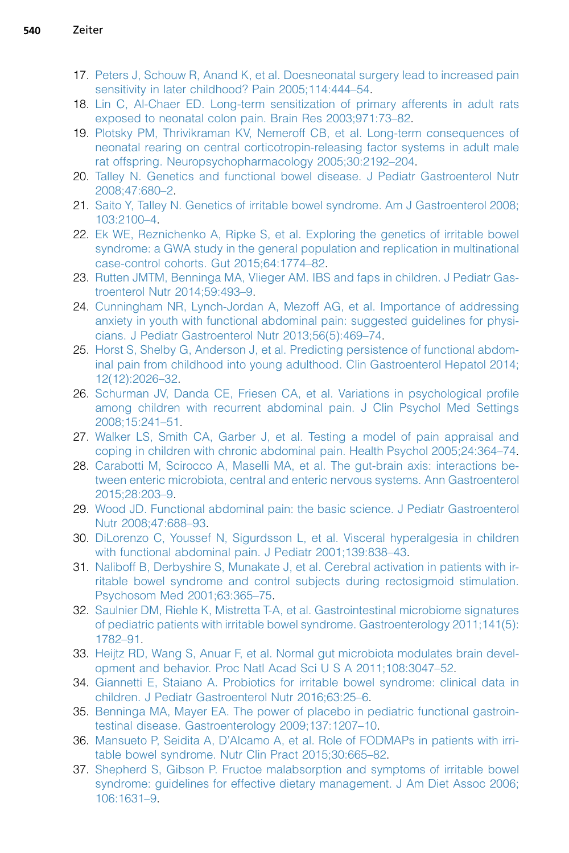- <span id="page-15-0"></span>17. [Peters J, Schouw R, Anand K, et al. Doesneonatal surgery lead to increased pain](http://refhub.elsevier.com/S0031-3955(17)30012-3/sref17) [sensitivity in later childhood? Pain 2005;114:444–54.](http://refhub.elsevier.com/S0031-3955(17)30012-3/sref17)
- 18. [Lin C, Al-Chaer ED. Long-term sensitization of primary afferents in adult rats](http://refhub.elsevier.com/S0031-3955(17)30012-3/sref18) [exposed to neonatal colon pain. Brain Res 2003;971:73–82.](http://refhub.elsevier.com/S0031-3955(17)30012-3/sref18)
- 19. [Plotsky PM, Thrivikraman KV, Nemeroff CB, et al. Long-term consequences of](http://refhub.elsevier.com/S0031-3955(17)30012-3/sref19) [neonatal rearing on central corticotropin-releasing factor systems in adult male](http://refhub.elsevier.com/S0031-3955(17)30012-3/sref19) [rat offspring. Neuropsychopharmacology 2005;30:2192–204.](http://refhub.elsevier.com/S0031-3955(17)30012-3/sref19)
- 20. [Talley N. Genetics and functional bowel disease. J Pediatr Gastroenterol Nutr](http://refhub.elsevier.com/S0031-3955(17)30012-3/sref20) [2008;47:680–2](http://refhub.elsevier.com/S0031-3955(17)30012-3/sref20).
- 21. [Saito Y, Talley N. Genetics of irritable bowel syndrome. Am J Gastroenterol 2008;](http://refhub.elsevier.com/S0031-3955(17)30012-3/sref21) [103:2100–4.](http://refhub.elsevier.com/S0031-3955(17)30012-3/sref21)
- 22. [Ek WE, Reznichenko A, Ripke S, et al. Exploring the genetics of irritable bowel](http://refhub.elsevier.com/S0031-3955(17)30012-3/sref22) [syndrome: a GWA study in the general population and replication in multinational](http://refhub.elsevier.com/S0031-3955(17)30012-3/sref22) [case-control cohorts. Gut 2015;64:1774–82.](http://refhub.elsevier.com/S0031-3955(17)30012-3/sref22)
- 23. [Rutten JMTM, Benninga MA, Vlieger AM. IBS and faps in children. J Pediatr Gas](http://refhub.elsevier.com/S0031-3955(17)30012-3/sref23)[troenterol Nutr 2014;59:493–9.](http://refhub.elsevier.com/S0031-3955(17)30012-3/sref23)
- 24. [Cunningham NR, Lynch-Jordan A, Mezoff AG, et al. Importance of addressing](http://refhub.elsevier.com/S0031-3955(17)30012-3/sref24) [anxiety in youth with functional abdominal pain: suggested guidelines for physi](http://refhub.elsevier.com/S0031-3955(17)30012-3/sref24)[cians. J Pediatr Gastroenterol Nutr 2013;56\(5\):469–74.](http://refhub.elsevier.com/S0031-3955(17)30012-3/sref24)
- 25. [Horst S, Shelby G, Anderson J, et al. Predicting persistence of functional abdom](http://refhub.elsevier.com/S0031-3955(17)30012-3/sref25)[inal pain from childhood into young adulthood. Clin Gastroenterol Hepatol 2014;](http://refhub.elsevier.com/S0031-3955(17)30012-3/sref25) [12\(12\):2026–32.](http://refhub.elsevier.com/S0031-3955(17)30012-3/sref25)
- 26. [Schurman JV, Danda CE, Friesen CA, et al. Variations in psychological profile](http://refhub.elsevier.com/S0031-3955(17)30012-3/sref26) [among children with recurrent abdominal pain. J Clin Psychol Med Settings](http://refhub.elsevier.com/S0031-3955(17)30012-3/sref26) [2008;15:241–51](http://refhub.elsevier.com/S0031-3955(17)30012-3/sref26).
- 27. [Walker LS, Smith CA, Garber J, et al. Testing a model of pain appraisal and](http://refhub.elsevier.com/S0031-3955(17)30012-3/sref27) [coping in children with chronic abdominal pain. Health Psychol 2005;24:364–74.](http://refhub.elsevier.com/S0031-3955(17)30012-3/sref27)
- 28. [Carabotti M, Scirocco A, Maselli MA, et al. The gut-brain axis: interactions be](http://refhub.elsevier.com/S0031-3955(17)30012-3/sref28)[tween enteric microbiota, central and enteric nervous systems. Ann Gastroenterol](http://refhub.elsevier.com/S0031-3955(17)30012-3/sref28) [2015;28:203–9](http://refhub.elsevier.com/S0031-3955(17)30012-3/sref28).
- 29. [Wood JD. Functional abdominal pain: the basic science. J Pediatr Gastroenterol](http://refhub.elsevier.com/S0031-3955(17)30012-3/sref29) [Nutr 2008;47:688–93](http://refhub.elsevier.com/S0031-3955(17)30012-3/sref29).
- 30. [DiLorenzo C, Youssef N, Sigurdsson L, et al. Visceral hyperalgesia in children](http://refhub.elsevier.com/S0031-3955(17)30012-3/sref30) [with functional abdominal pain. J Pediatr 2001;139:838–43.](http://refhub.elsevier.com/S0031-3955(17)30012-3/sref30)
- 31. [Naliboff B, Derbyshire S, Munakate J, et al. Cerebral activation in patients with ir](http://refhub.elsevier.com/S0031-3955(17)30012-3/sref31)[ritable bowel syndrome and control subjects during rectosigmoid stimulation.](http://refhub.elsevier.com/S0031-3955(17)30012-3/sref31) [Psychosom Med 2001;63:365–75](http://refhub.elsevier.com/S0031-3955(17)30012-3/sref31).
- 32. [Saulnier DM, Riehle K, Mistretta T-A, et al. Gastrointestinal microbiome signatures](http://refhub.elsevier.com/S0031-3955(17)30012-3/sref32) [of pediatric patients with irritable bowel syndrome. Gastroenterology 2011;141\(5\):](http://refhub.elsevier.com/S0031-3955(17)30012-3/sref32) [1782–91.](http://refhub.elsevier.com/S0031-3955(17)30012-3/sref32)
- 33. [Heijtz RD, Wang S, Anuar F, et al. Normal gut microbiota modulates brain devel](http://refhub.elsevier.com/S0031-3955(17)30012-3/sref33)[opment and behavior. Proc Natl Acad Sci U S A 2011;108:3047–52](http://refhub.elsevier.com/S0031-3955(17)30012-3/sref33).
- 34. [Giannetti E, Staiano A. Probiotics for irritable bowel syndrome: clinical data in](http://refhub.elsevier.com/S0031-3955(17)30012-3/sref34) [children. J Pediatr Gastroenterol Nutr 2016;63:25–6.](http://refhub.elsevier.com/S0031-3955(17)30012-3/sref34)
- 35. [Benninga MA, Mayer EA. The power of placebo in pediatric functional gastroin](http://refhub.elsevier.com/S0031-3955(17)30012-3/sref35)[testinal disease. Gastroenterology 2009;137:1207–10](http://refhub.elsevier.com/S0031-3955(17)30012-3/sref35).
- 36. [Mansueto P, Seidita A, D'Alcamo A, et al. Role of FODMAPs in patients with irri](http://refhub.elsevier.com/S0031-3955(17)30012-3/sref36)[table bowel syndrome. Nutr Clin Pract 2015;30:665–82](http://refhub.elsevier.com/S0031-3955(17)30012-3/sref36).
- 37. [Shepherd S, Gibson P. Fructoe malabsorption and symptoms of irritable bowel](http://refhub.elsevier.com/S0031-3955(17)30012-3/sref37) [syndrome: guidelines for effective dietary management. J Am Diet Assoc 2006;](http://refhub.elsevier.com/S0031-3955(17)30012-3/sref37) [106:1631–9.](http://refhub.elsevier.com/S0031-3955(17)30012-3/sref37)